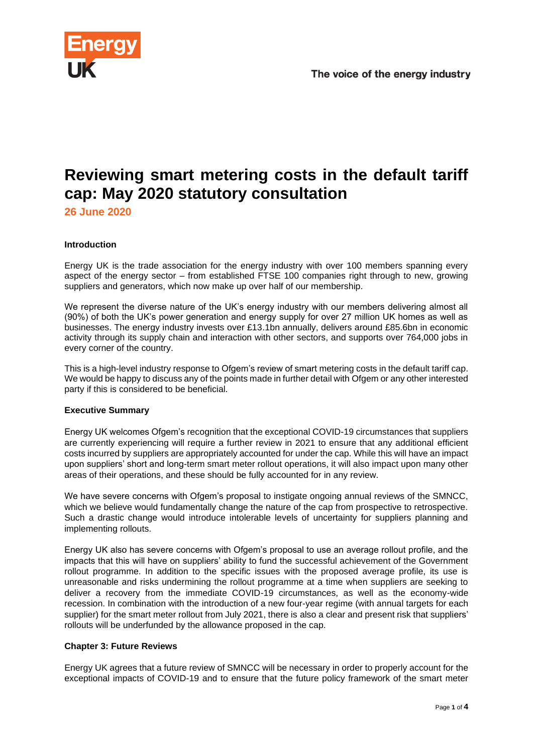

# **Reviewing smart metering costs in the default tariff cap: May 2020 statutory consultation**

**26 June 2020**

## **Introduction**

Energy UK is the trade association for the energy industry with over 100 members spanning every aspect of the energy sector – from established FTSE 100 companies right through to new, growing suppliers and generators, which now make up over half of our membership.

We represent the diverse nature of the UK's energy industry with our members delivering almost all (90%) of both the UK's power generation and energy supply for over 27 million UK homes as well as businesses. The energy industry invests over £13.1bn annually, delivers around £85.6bn in economic activity through its supply chain and interaction with other sectors, and supports over 764,000 jobs in every corner of the country.

This is a high-level industry response to Ofgem's review of smart metering costs in the default tariff cap. We would be happy to discuss any of the points made in further detail with Ofgem or any other interested party if this is considered to be beneficial.

## **Executive Summary**

Energy UK welcomes Ofgem's recognition that the exceptional COVID-19 circumstances that suppliers are currently experiencing will require a further review in 2021 to ensure that any additional efficient costs incurred by suppliers are appropriately accounted for under the cap. While this will have an impact upon suppliers' short and long-term smart meter rollout operations, it will also impact upon many other areas of their operations, and these should be fully accounted for in any review.

We have severe concerns with Ofgem's proposal to instigate ongoing annual reviews of the SMNCC, which we believe would fundamentally change the nature of the cap from prospective to retrospective. Such a drastic change would introduce intolerable levels of uncertainty for suppliers planning and implementing rollouts.

Energy UK also has severe concerns with Ofgem's proposal to use an average rollout profile, and the impacts that this will have on suppliers' ability to fund the successful achievement of the Government rollout programme. In addition to the specific issues with the proposed average profile, its use is unreasonable and risks undermining the rollout programme at a time when suppliers are seeking to deliver a recovery from the immediate COVID-19 circumstances, as well as the economy-wide recession. In combination with the introduction of a new four-year regime (with annual targets for each supplier) for the smart meter rollout from July 2021, there is also a clear and present risk that suppliers' rollouts will be underfunded by the allowance proposed in the cap.

## **Chapter 3: Future Reviews**

Energy UK agrees that a future review of SMNCC will be necessary in order to properly account for the exceptional impacts of COVID-19 and to ensure that the future policy framework of the smart meter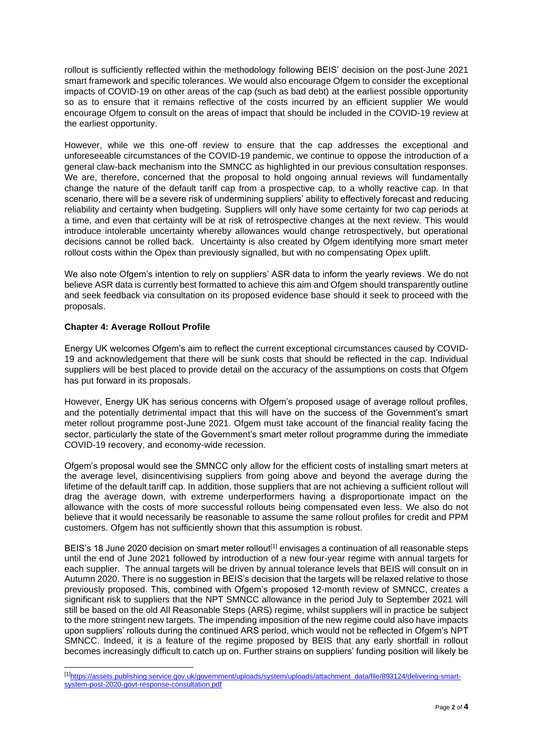rollout is sufficiently reflected within the methodology following BEIS' decision on the post-June 2021 smart framework and specific tolerances. We would also encourage Ofgem to consider the exceptional impacts of COVID-19 on other areas of the cap (such as bad debt) at the earliest possible opportunity so as to ensure that it remains reflective of the costs incurred by an efficient supplier We would encourage Ofgem to consult on the areas of impact that should be included in the COVID-19 review at the earliest opportunity.

However, while we this one-off review to ensure that the cap addresses the exceptional and unforeseeable circumstances of the COVID-19 pandemic, we continue to oppose the introduction of a general claw-back mechanism into the SMNCC as highlighted in our previous consultation responses. We are, therefore, concerned that the proposal to hold ongoing annual reviews will fundamentally change the nature of the default tariff cap from a prospective cap, to a wholly reactive cap. In that scenario, there will be a severe risk of undermining suppliers' ability to effectively forecast and reducing reliability and certainty when budgeting. Suppliers will only have some certainty for two cap periods at a time, and even that certainty will be at risk of retrospective changes at the next review. This would introduce intolerable uncertainty whereby allowances would change retrospectively, but operational decisions cannot be rolled back. Uncertainty is also created by Ofgem identifying more smart meter rollout costs within the Opex than previously signalled, but with no compensating Opex uplift.

We also note Ofgem's intention to rely on suppliers' ASR data to inform the yearly reviews. We do not believe ASR data is currently best formatted to achieve this aim and Ofgem should transparently outline and seek feedback via consultation on its proposed evidence base should it seek to proceed with the proposals.

## **Chapter 4: Average Rollout Profile**

Energy UK welcomes Ofgem's aim to reflect the current exceptional circumstances caused by COVID-19 and acknowledgement that there will be sunk costs that should be reflected in the cap. Individual suppliers will be best placed to provide detail on the accuracy of the assumptions on costs that Ofgem has put forward in its proposals.

However, Energy UK has serious concerns with Ofgem's proposed usage of average rollout profiles, and the potentially detrimental impact that this will have on the success of the Government's smart meter rollout programme post-June 2021. Ofgem must take account of the financial reality facing the sector, particularly the state of the Government's smart meter rollout programme during the immediate COVID-19 recovery, and economy-wide recession.

Ofgem's proposal would see the SMNCC only allow for the efficient costs of installing smart meters at the average level, disincentivising suppliers from going above and beyond the average during the lifetime of the default tariff cap. In addition, those suppliers that are not achieving a sufficient rollout will drag the average down, with extreme underperformers having a disproportionate impact on the allowance with the costs of more successful rollouts being compensated even less. We also do not believe that it would necessarily be reasonable to assume the same rollout profiles for credit and PPM customers. Ofgem has not sufficiently shown that this assumption is robust.

BEIS's 18 June 2020 decision on smart meter rollout<sup>[1]</sup> envisages a continuation of all reasonable steps until the end of June 2021 followed by introduction of a new four-year regime with annual targets for each supplier. The annual targets will be driven by annual tolerance levels that BEIS will consult on in Autumn 2020. There is no suggestion in BEIS's decision that the targets will be relaxed relative to those previously proposed. This, combined with Ofgem's proposed 12-month review of SMNCC, creates a significant risk to suppliers that the NPT SMNCC allowance in the period July to September 2021 will still be based on the old All Reasonable Steps (ARS) regime, whilst suppliers will in practice be subject to the more stringent new targets. The impending imposition of the new regime could also have impacts upon suppliers' rollouts during the continued ARS period, which would not be reflected in Ofgem's NPT SMNCC. Indeed, it is a feature of the regime proposed by BEIS that any early shortfall in rollout becomes increasingly difficult to catch up on. Further strains on suppliers' funding position will likely be

<sup>[1]</sup>[https://assets.publishing.service.gov.uk/government/uploads/system/uploads/attachment\\_data/file/893124/delivering-smart](https://assets.publishing.service.gov.uk/government/uploads/system/uploads/attachment_data/file/893124/delivering-smart-system-post-2020-govt-response-consultation.pdf)[system-post-2020-govt-response-consultation.pdf](https://assets.publishing.service.gov.uk/government/uploads/system/uploads/attachment_data/file/893124/delivering-smart-system-post-2020-govt-response-consultation.pdf)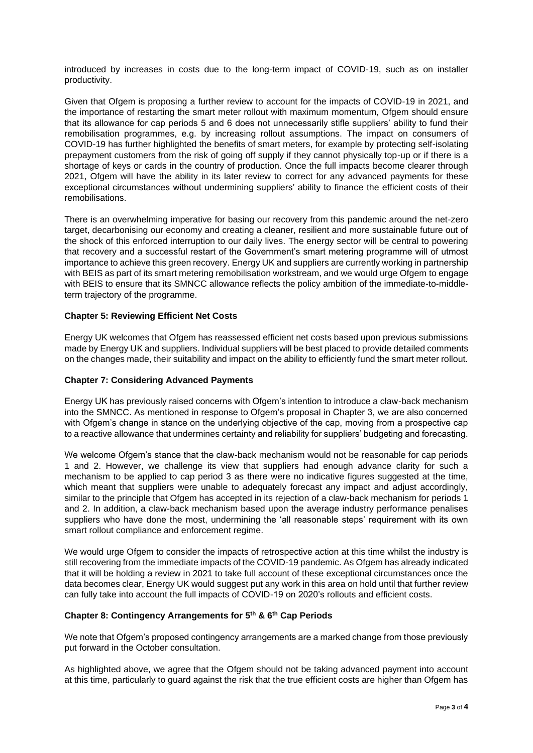introduced by increases in costs due to the long-term impact of COVID-19, such as on installer productivity.

Given that Ofgem is proposing a further review to account for the impacts of COVID-19 in 2021, and the importance of restarting the smart meter rollout with maximum momentum, Ofgem should ensure that its allowance for cap periods 5 and 6 does not unnecessarily stifle suppliers' ability to fund their remobilisation programmes, e.g. by increasing rollout assumptions. The impact on consumers of COVID-19 has further highlighted the benefits of smart meters, for example by protecting self-isolating prepayment customers from the risk of going off supply if they cannot physically top-up or if there is a shortage of keys or cards in the country of production. Once the full impacts become clearer through 2021, Ofgem will have the ability in its later review to correct for any advanced payments for these exceptional circumstances without undermining suppliers' ability to finance the efficient costs of their remobilisations.

There is an overwhelming imperative for basing our recovery from this pandemic around the net-zero target, decarbonising our economy and creating a cleaner, resilient and more sustainable future out of the shock of this enforced interruption to our daily lives. The energy sector will be central to powering that recovery and a successful restart of the Government's smart metering programme will of utmost importance to achieve this green recovery. Energy UK and suppliers are currently working in partnership with BEIS as part of its smart metering remobilisation workstream, and we would urge Ofgem to engage with BEIS to ensure that its SMNCC allowance reflects the policy ambition of the immediate-to-middleterm trajectory of the programme.

#### **Chapter 5: Reviewing Efficient Net Costs**

Energy UK welcomes that Ofgem has reassessed efficient net costs based upon previous submissions made by Energy UK and suppliers. Individual suppliers will be best placed to provide detailed comments on the changes made, their suitability and impact on the ability to efficiently fund the smart meter rollout.

#### **Chapter 7: Considering Advanced Payments**

Energy UK has previously raised concerns with Ofgem's intention to introduce a claw-back mechanism into the SMNCC. As mentioned in response to Ofgem's proposal in Chapter 3, we are also concerned with Ofgem's change in stance on the underlying objective of the cap, moving from a prospective cap to a reactive allowance that undermines certainty and reliability for suppliers' budgeting and forecasting.

We welcome Ofgem's stance that the claw-back mechanism would not be reasonable for cap periods 1 and 2. However, we challenge its view that suppliers had enough advance clarity for such a mechanism to be applied to cap period 3 as there were no indicative figures suggested at the time, which meant that suppliers were unable to adequately forecast any impact and adjust accordingly, similar to the principle that Ofgem has accepted in its rejection of a claw-back mechanism for periods 1 and 2. In addition, a claw-back mechanism based upon the average industry performance penalises suppliers who have done the most, undermining the 'all reasonable steps' requirement with its own smart rollout compliance and enforcement regime.

We would urge Ofgem to consider the impacts of retrospective action at this time whilst the industry is still recovering from the immediate impacts of the COVID-19 pandemic. As Ofgem has already indicated that it will be holding a review in 2021 to take full account of these exceptional circumstances once the data becomes clear, Energy UK would suggest put any work in this area on hold until that further review can fully take into account the full impacts of COVID-19 on 2020's rollouts and efficient costs.

#### **Chapter 8: Contingency Arrangements for 5th & 6th Cap Periods**

We note that Ofgem's proposed contingency arrangements are a marked change from those previously put forward in the October consultation.

As highlighted above, we agree that the Ofgem should not be taking advanced payment into account at this time, particularly to guard against the risk that the true efficient costs are higher than Ofgem has